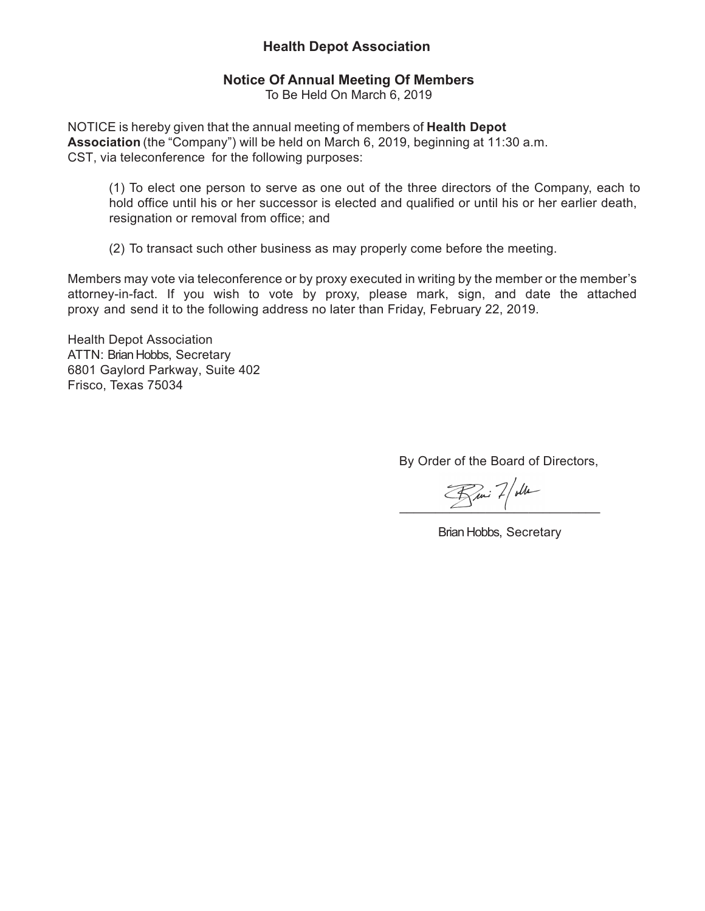# **Health Depot Association**

## **Notice Of Annual Meeting Of Members**

To Be Held On March 6, 2019

NOTICE is hereby given that the annual meeting of members of **Health Depot Association** (the "Company") will be held on March 6, 2019, beginning at 11:30 a.m. CST, via teleconference for the following purposes:

(1) To elect one person to serve as one out of the three directors of the Company, each to hold office until his or her successor is elected and qualified or until his or her earlier death, resignation or removal from office; and

(2) To transact such other business as may properly come before the meeting.

Members may vote via teleconference or by proxy executed in writing by the member or the member's attorney-in-fact. If you wish to vote by proxy, please mark, sign, and date the attached proxy and send it to the following address no later than Friday, February 22, 2019.

Health Depot Association ATTN: Brian Hobbs, Secretary 6801 Gaylord Parkway, Suite 402 Frisco, Texas 75034

By Order of the Board of Directors,

 $R_\mu$  2/ oller

Brian Hobbs, Secretary